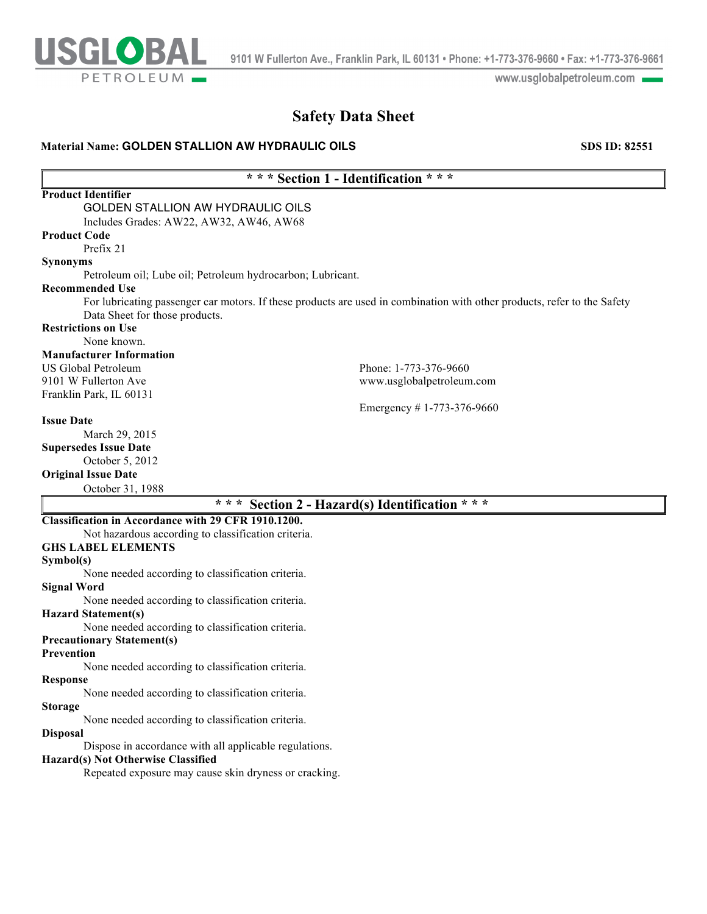

www.usglobalpetroleum.com

# **Safety Data Sheet**

# **Material Name: GOLDEN STALLION AW HYDRAULIC OILS <b>SDS 10: 82551** SDS ID: 82551

# **\* \* \* Section 1 - Identification \* \* \***

| <b>Product Identifier</b>                                  |                                                                                                                          |
|------------------------------------------------------------|--------------------------------------------------------------------------------------------------------------------------|
| <b>GOLDEN STALLION AW HYDRAULIC OILS</b>                   |                                                                                                                          |
| Includes Grades: AW22, AW32, AW46, AW68                    |                                                                                                                          |
| <b>Product Code</b>                                        |                                                                                                                          |
| Prefix 21                                                  |                                                                                                                          |
| <b>Synonyms</b>                                            |                                                                                                                          |
| Petroleum oil; Lube oil; Petroleum hydrocarbon; Lubricant. |                                                                                                                          |
| <b>Recommended Use</b>                                     |                                                                                                                          |
|                                                            | For lubricating passenger car motors. If these products are used in combination with other products, refer to the Safety |
| Data Sheet for those products.                             |                                                                                                                          |
| <b>Restrictions on Use</b>                                 |                                                                                                                          |
| None known.                                                |                                                                                                                          |
| <b>Manufacturer Information</b>                            |                                                                                                                          |
| <b>US Global Petroleum</b>                                 | Phone: 1-773-376-9660                                                                                                    |
| 9101 W Fullerton Ave                                       | www.usglobalpetroleum.com                                                                                                |
| Franklin Park, IL 60131                                    |                                                                                                                          |
|                                                            | Emergency #1-773-376-9660                                                                                                |
| <b>Issue Date</b>                                          |                                                                                                                          |
| March 29, 2015                                             |                                                                                                                          |
| <b>Supersedes Issue Date</b>                               |                                                                                                                          |
| October 5, 2012                                            |                                                                                                                          |
| <b>Original Issue Date</b>                                 |                                                                                                                          |
| October 31, 1988                                           |                                                                                                                          |
| * * *                                                      | Section 2 - Hazard(s) Identification * * *                                                                               |
| Classification in Accordance with 29 CFR 1910.1200.        |                                                                                                                          |
| Not hazardous according to classification criteria.        |                                                                                                                          |
| <b>GHS LABEL ELEMENTS</b>                                  |                                                                                                                          |
| Symbol(s)                                                  |                                                                                                                          |
| None needed according to classification criteria.          |                                                                                                                          |
| $C_{real}$ $W_{end}$                                       |                                                                                                                          |

**Signal Word**

None needed according to classification criteria.

**Hazard Statement(s)**

None needed according to classification criteria.

# **Precautionary Statement(s)**

# **Prevention**

None needed according to classification criteria.

# **Response**

None needed according to classification criteria.

# **Storage**

None needed according to classification criteria.

# **Disposal**

Dispose in accordance with all applicable regulations.

### **Hazard(s) Not Otherwise Classified**

Repeated exposure may cause skin dryness or cracking.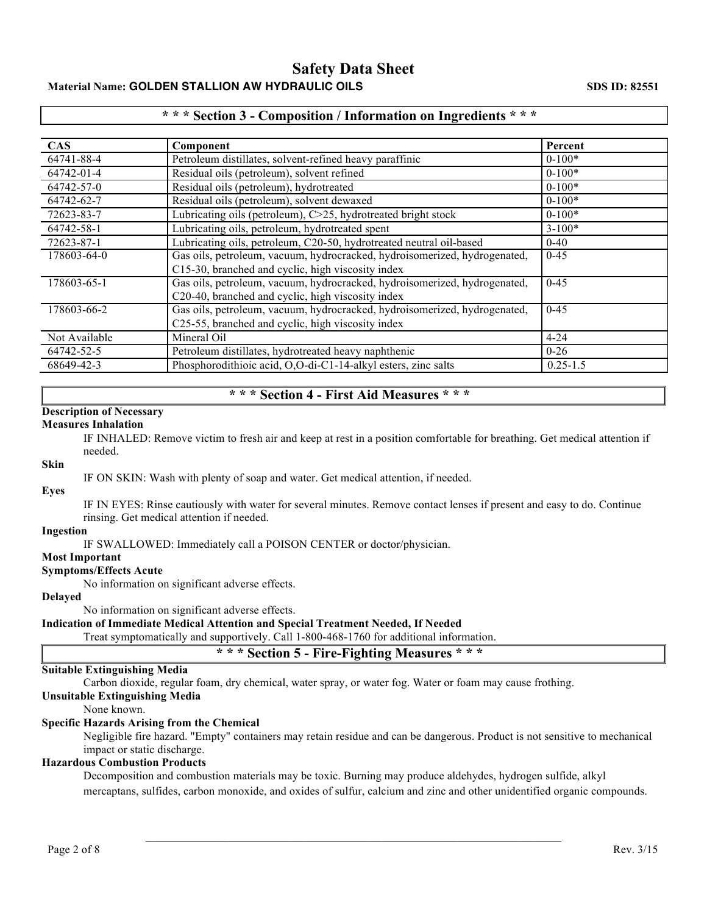# **Safety Data Sheet Material Name: GOLDEN STALLION AW HYDRAULIC OILS SDS ID: 82551 SDS ID: 82551**

# **\* \* \* Section 3 - Composition / Information on Ingredients \* \* \***

| <b>CAS</b>    | Component                                                                 | Percent      |
|---------------|---------------------------------------------------------------------------|--------------|
| 64741-88-4    | Petroleum distillates, solvent-refined heavy paraffinic                   | $0-100*$     |
| 64742-01-4    | Residual oils (petroleum), solvent refined                                | $0-100*$     |
| 64742-57-0    | Residual oils (petroleum), hydrotreated                                   | $0-100*$     |
| 64742-62-7    | Residual oils (petroleum), solvent dewaxed                                | $0-100*$     |
| 72623-83-7    | Lubricating oils (petroleum), C>25, hydrotreated bright stock             | $0-100*$     |
| 64742-58-1    | Lubricating oils, petroleum, hydrotreated spent                           | $3 - 100*$   |
| 72623-87-1    | Lubricating oils, petroleum, C20-50, hydrotreated neutral oil-based       | $0 - 40$     |
| 178603-64-0   | Gas oils, petroleum, vacuum, hydrocracked, hydroisomerized, hydrogenated, | $0 - 45$     |
|               | C15-30, branched and cyclic, high viscosity index                         |              |
| 178603-65-1   | Gas oils, petroleum, vacuum, hydrocracked, hydroisomerized, hydrogenated, | $0 - 45$     |
|               | C20-40, branched and cyclic, high viscosity index                         |              |
| 178603-66-2   | Gas oils, petroleum, vacuum, hydrocracked, hydroisomerized, hydrogenated, | $0 - 45$     |
|               | C25-55, branched and cyclic, high viscosity index                         |              |
| Not Available | Mineral Oil                                                               | $4 - 24$     |
| 64742-52-5    | Petroleum distillates, hydrotreated heavy naphthenic                      | $0 - 26$     |
| 68649-42-3    | Phosphorodithioic acid, O,O-di-C1-14-alkyl esters, zinc salts             | $0.25 - 1.5$ |

# **\* \* \* Section 4 - First Aid Measures \* \* \***

# **Description of Necessary**

#### **Measures Inhalation**

IF INHALED: Remove victim to fresh air and keep at rest in a position comfortable for breathing. Get medical attention if needed.

# **Skin**

IF ON SKIN: Wash with plenty of soap and water. Get medical attention, if needed.

# **Eyes**

IF IN EYES: Rinse cautiously with water for several minutes. Remove contact lenses if present and easy to do. Continue rinsing. Get medical attention if needed.

#### **Ingestion**

IF SWALLOWED: Immediately call a POISON CENTER or doctor/physician.

### **Most Important**

### **Symptoms/Effects Acute**

No information on significant adverse effects.

# **Delayed**

No information on significant adverse effects.

# **Indication of Immediate Medical Attention and Special Treatment Needed, If Needed**

Treat symptomatically and supportively. Call 1-800-468-1760 for additional information.

# **\* \* \* Section 5 - Fire-Fighting Measures \* \* \***

# **Suitable Extinguishing Media**

Carbon dioxide, regular foam, dry chemical, water spray, or water fog. Water or foam may cause frothing.

# **Unsuitable Extinguishing Media**

None known.

# **Specific Hazards Arising from the Chemical**

Negligible fire hazard. "Empty" containers may retain residue and can be dangerous. Product is not sensitive to mechanical impact or static discharge.

# **Hazardous Combustion Products**

Decomposition and combustion materials may be toxic. Burning may produce aldehydes, hydrogen sulfide, alkyl mercaptans, sulfides, carbon monoxide, and oxides of sulfur, calcium and zinc and other unidentified organic compounds.

 $\mathcal{L}_\mathcal{L}$  , and the contribution of the contribution of the contribution of the contribution of the contribution of the contribution of the contribution of the contribution of the contribution of the contribution of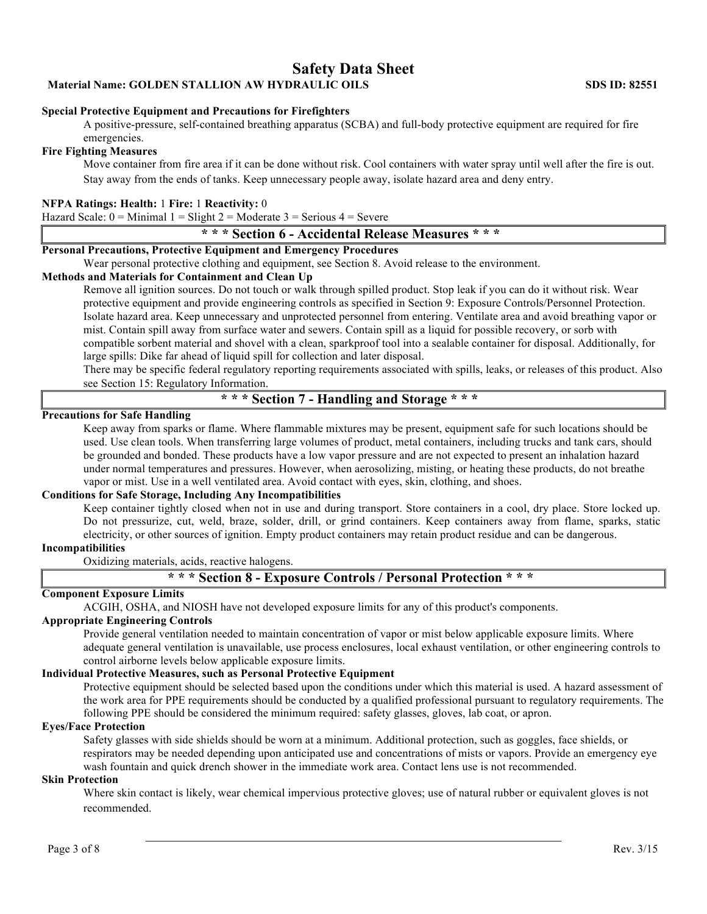# **Safety Data Sheet**

**Material Name: GOLDEN STALLION AW HYDRAULIC OILS SDS ID: 82551**

#### **Special Protective Equipment and Precautions for Firefighters**

A positive-pressure, self-contained breathing apparatus (SCBA) and full-body protective equipment are required for fire emergencies.

### **Fire Fighting Measures**

Move container from fire area if it can be done without risk. Cool containers with water spray until well after the fire is out. Stay away from the ends of tanks. Keep unnecessary people away, isolate hazard area and deny entry.

#### **NFPA Ratings: Health:** 1 **Fire:** 1 **Reactivity:** 0

Hazard Scale:  $0 =$  Minimal  $1 =$  Slight  $2 =$  Moderate  $3 =$  Serious  $4 =$  Severe

# **\* \* \* Section 6 - Accidental Release Measures \* \* \***

# **Personal Precautions, Protective Equipment and Emergency Procedures**

Wear personal protective clothing and equipment, see Section 8. Avoid release to the environment.

### **Methods and Materials for Containment and Clean Up**

Remove all ignition sources. Do not touch or walk through spilled product. Stop leak if you can do it without risk. Wear protective equipment and provide engineering controls as specified in Section 9: Exposure Controls/Personnel Protection. Isolate hazard area. Keep unnecessary and unprotected personnel from entering. Ventilate area and avoid breathing vapor or mist. Contain spill away from surface water and sewers. Contain spill as a liquid for possible recovery, or sorb with compatible sorbent material and shovel with a clean, sparkproof tool into a sealable container for disposal. Additionally, for large spills: Dike far ahead of liquid spill for collection and later disposal.

There may be specific federal regulatory reporting requirements associated with spills, leaks, or releases of this product. Also see Section 15: Regulatory Information.

# **\* \* \* Section 7 - Handling and Storage \* \* \***

### **Precautions for Safe Handling**

Keep away from sparks or flame. Where flammable mixtures may be present, equipment safe for such locations should be used. Use clean tools. When transferring large volumes of product, metal containers, including trucks and tank cars, should be grounded and bonded. These products have a low vapor pressure and are not expected to present an inhalation hazard under normal temperatures and pressures. However, when aerosolizing, misting, or heating these products, do not breathe vapor or mist. Use in a well ventilated area. Avoid contact with eyes, skin, clothing, and shoes.

### **Conditions for Safe Storage, Including Any Incompatibilities**

Keep container tightly closed when not in use and during transport. Store containers in a cool, dry place. Store locked up. Do not pressurize, cut, weld, braze, solder, drill, or grind containers. Keep containers away from flame, sparks, static electricity, or other sources of ignition. Empty product containers may retain product residue and can be dangerous.

### **Incompatibilities**

Oxidizing materials, acids, reactive halogens.

# **\* \* \* Section 8 - Exposure Controls / Personal Protection \* \* \***

#### **Component Exposure Limits**

ACGIH, OSHA, and NIOSH have not developed exposure limits for any of this product's components.

# **Appropriate Engineering Controls**

Provide general ventilation needed to maintain concentration of vapor or mist below applicable exposure limits. Where adequate general ventilation is unavailable, use process enclosures, local exhaust ventilation, or other engineering controls to control airborne levels below applicable exposure limits.

### **Individual Protective Measures, such as Personal Protective Equipment**

Protective equipment should be selected based upon the conditions under which this material is used. A hazard assessment of the work area for PPE requirements should be conducted by a qualified professional pursuant to regulatory requirements. The following PPE should be considered the minimum required: safety glasses, gloves, lab coat, or apron.

#### **Eyes/Face Protection**

Safety glasses with side shields should be worn at a minimum. Additional protection, such as goggles, face shields, or respirators may be needed depending upon anticipated use and concentrations of mists or vapors. Provide an emergency eye wash fountain and quick drench shower in the immediate work area. Contact lens use is not recommended.

#### **Skin Protection**

Where skin contact is likely, wear chemical impervious protective gloves; use of natural rubber or equivalent gloves is not recommended.

 $\mathcal{L}_\text{max}$  and the contract of the contract of the contract of the contract of the contract of the contract of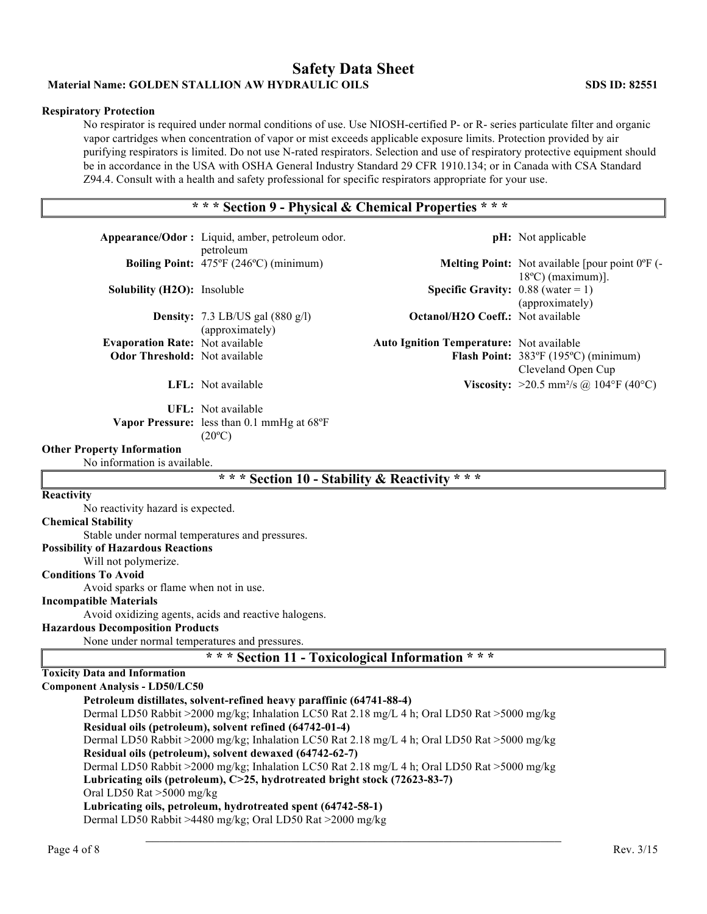# **Safety Data Sheet Material Name: GOLDEN STALLION AW HYDRAULIC OILS SDS ID: 82551**

# **Respiratory Protection**

No respirator is required under normal conditions of use. Use NIOSH-certified P- or R- series particulate filter and organic vapor cartridges when concentration of vapor or mist exceeds applicable exposure limits. Protection provided by air purifying respirators is limited. Do not use N-rated respirators. Selection and use of respiratory protective equipment should be in accordance in the USA with OSHA General Industry Standard 29 CFR 1910.134; or in Canada with CSA Standard Z94.4. Consult with a health and safety professional for specific respirators appropriate for your use.

# **\* \* \* Section 9 - Physical & Chemical Properties \* \* \***

| Appearance/Odor: Liquid, amber, petroleum odor.                                                                                                         |                                                                                     |                                                 | <b>pH</b> : Not applicable                                                                      |  |  |
|---------------------------------------------------------------------------------------------------------------------------------------------------------|-------------------------------------------------------------------------------------|-------------------------------------------------|-------------------------------------------------------------------------------------------------|--|--|
|                                                                                                                                                         | petroleum<br>Boiling Point: 475°F (246°C) (minimum)                                 |                                                 | <b>Melting Point:</b> Not available [pour point $0^{\circ}$ F (-<br>$18^{\circ}$ C) (maximum)]. |  |  |
| <b>Solubility (H2O):</b> Insoluble                                                                                                                      |                                                                                     | <b>Specific Gravity:</b> $0.88$ (water = 1)     | (approximately)                                                                                 |  |  |
|                                                                                                                                                         | <b>Density:</b> 7.3 LB/US gal $(880 \text{ g/l})$<br>(approximately)                | <b>Octanol/H2O Coeff.:</b> Not available        |                                                                                                 |  |  |
| <b>Evaporation Rate: Not available</b><br><b>Odor Threshold:</b> Not available                                                                          |                                                                                     | <b>Auto Ignition Temperature:</b> Not available | Flash Point: 383°F (195°C) (minimum)<br>Cleveland Open Cup                                      |  |  |
|                                                                                                                                                         | LFL: Not available                                                                  |                                                 | <b>Viscosity:</b> >20.5 mm <sup>2</sup> /s @ 104°F (40°C)                                       |  |  |
|                                                                                                                                                         | UFL: Not available<br>Vapor Pressure: less than 0.1 mmHg at 68°F<br>$(20^{\circ}C)$ |                                                 |                                                                                                 |  |  |
| <b>Other Property Information</b><br>No information is available.                                                                                       |                                                                                     |                                                 |                                                                                                 |  |  |
|                                                                                                                                                         | * * * Section 10 - Stability & Reactivity * * *                                     |                                                 |                                                                                                 |  |  |
| Reactivity                                                                                                                                              |                                                                                     |                                                 |                                                                                                 |  |  |
| No reactivity hazard is expected.                                                                                                                       |                                                                                     |                                                 |                                                                                                 |  |  |
| <b>Chemical Stability</b>                                                                                                                               |                                                                                     |                                                 |                                                                                                 |  |  |
| Stable under normal temperatures and pressures.                                                                                                         |                                                                                     |                                                 |                                                                                                 |  |  |
| <b>Possibility of Hazardous Reactions</b>                                                                                                               |                                                                                     |                                                 |                                                                                                 |  |  |
| Will not polymerize.<br><b>Conditions To Avoid</b>                                                                                                      |                                                                                     |                                                 |                                                                                                 |  |  |
| Avoid sparks or flame when not in use.                                                                                                                  |                                                                                     |                                                 |                                                                                                 |  |  |
| <b>Incompatible Materials</b>                                                                                                                           |                                                                                     |                                                 |                                                                                                 |  |  |
|                                                                                                                                                         | Avoid oxidizing agents, acids and reactive halogens.                                |                                                 |                                                                                                 |  |  |
| <b>Hazardous Decomposition Products</b>                                                                                                                 |                                                                                     |                                                 |                                                                                                 |  |  |
| None under normal temperatures and pressures.                                                                                                           |                                                                                     |                                                 |                                                                                                 |  |  |
|                                                                                                                                                         | *** Section 11 - Toxicological Information ***                                      |                                                 |                                                                                                 |  |  |
| <b>Toxicity Data and Information</b>                                                                                                                    |                                                                                     |                                                 |                                                                                                 |  |  |
| <b>Component Analysis - LD50/LC50</b>                                                                                                                   |                                                                                     |                                                 |                                                                                                 |  |  |
|                                                                                                                                                         | Petroleum distillates, solvent-refined heavy paraffinic (64741-88-4)                |                                                 |                                                                                                 |  |  |
| Dermal LD50 Rabbit >2000 mg/kg; Inhalation LC50 Rat 2.18 mg/L 4 h; Oral LD50 Rat >5000 mg/kg                                                            |                                                                                     |                                                 |                                                                                                 |  |  |
| Residual oils (petroleum), solvent refined (64742-01-4)<br>Dermal LD50 Rabbit >2000 mg/kg; Inhalation LC50 Rat 2.18 mg/L 4 h; Oral LD50 Rat >5000 mg/kg |                                                                                     |                                                 |                                                                                                 |  |  |
| Residual oils (petroleum), solvent dewaxed (64742-62-7)                                                                                                 |                                                                                     |                                                 |                                                                                                 |  |  |
| Dermal LD50 Rabbit >2000 mg/kg; Inhalation LC50 Rat 2.18 mg/L 4 h; Oral LD50 Rat >5000 mg/kg                                                            |                                                                                     |                                                 |                                                                                                 |  |  |
| Lubricating oils (petroleum), C>25, hydrotreated bright stock (72623-83-7)                                                                              |                                                                                     |                                                 |                                                                                                 |  |  |
| Oral LD50 Rat >5000 mg/kg                                                                                                                               |                                                                                     |                                                 |                                                                                                 |  |  |
| Lubricating oils, petroleum, hydrotreated spent (64742-58-1)                                                                                            |                                                                                     |                                                 |                                                                                                 |  |  |
|                                                                                                                                                         | Dermal LD50 Rabbit >4480 mg/kg; Oral LD50 Rat >2000 mg/kg                           |                                                 |                                                                                                 |  |  |
|                                                                                                                                                         |                                                                                     |                                                 |                                                                                                 |  |  |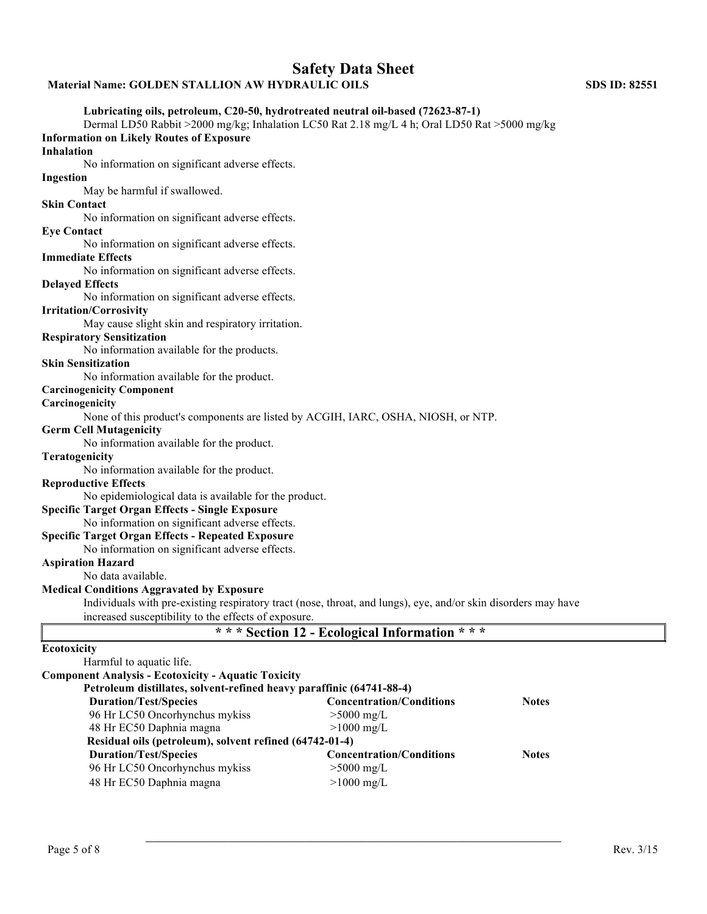# **Material Name: GOLDEN STALLION AW HYDRAULIC OILS SDS ID: 82551**

# **Lubricating oils, petroleum, C20-50, hydrotreated neutral oil-based (72623-87-1)**

Dermal LD50 Rabbit >2000 mg/kg; Inhalation LC50 Rat 2.18 mg/L 4 h; Oral LD50 Rat >5000 mg/kg **Information on Likely Routes of Exposure** 

### **Inhalation**

No information on significant adverse effects.

# **Ingestion**

May be harmful if swallowed.

### **Skin Contact**

No information on significant adverse effects.

#### **Eye Contact**

No information on significant adverse effects.

#### **Immediate Effects**

No information on significant adverse effects.

#### **Delayed Effects**

No information on significant adverse effects.

### **Irritation/Corrosivity**

May cause slight skin and respiratory irritation.

#### **Respiratory Sensitization**

No information available for the products.

#### **Skin Sensitization**

No information available for the product.

# **Carcinogenicity Component**

### **Carcinogenicity**

None of this product's components are listed by ACGIH, IARC, OSHA, NIOSH, or NTP.

#### **Germ Cell Mutagenicity**

No information available for the product.

### **Teratogenicity**

No information available for the product.

#### **Reproductive Effects**

No epidemiological data is available for the product.

#### **Specific Target Organ Effects - Single Exposure**

No information on significant adverse effects.

#### **Specific Target Organ Effects - Repeated Exposure**

No information on significant adverse effects.

# **Aspiration Hazard**

No data available.

### **Medical Conditions Aggravated by Exposure**

Individuals with pre-existing respiratory tract (nose, throat, and lungs), eye, and/or skin disorders may have increased susceptibility to the effects of exposure.

|  |  | * * * Section 12 - Ecological Information * * * |  |  |  |  |  |  |  |  |
|--|--|-------------------------------------------------|--|--|--|--|--|--|--|--|
|--|--|-------------------------------------------------|--|--|--|--|--|--|--|--|

 $\mathcal{L}_\mathcal{L}$  , and the contribution of the contribution of the contribution of the contribution of the contribution of the contribution of the contribution of the contribution of the contribution of the contribution of

# **Ecotoxicity**

| Harmful to aquatic life.                                             |                                 |              |
|----------------------------------------------------------------------|---------------------------------|--------------|
| <b>Component Analysis - Ecotoxicity - Aquatic Toxicity</b>           |                                 |              |
| Petroleum distillates, solvent-refined heavy paraffinic (64741-88-4) |                                 |              |
| <b>Duration/Test/Species</b>                                         | <b>Concentration/Conditions</b> | <b>Notes</b> |
| 96 Hr LC50 Oncorhynchus mykiss                                       | $>5000$ mg/L                    |              |
| 48 Hr EC50 Daphnia magna                                             | $>1000$ mg/L                    |              |
| Residual oils (petroleum), solvent refined (64742-01-4)              |                                 |              |
| <b>Duration/Test/Species</b>                                         | <b>Concentration/Conditions</b> | <b>Notes</b> |
| 96 Hr LC50 Oncorhynchus mykiss                                       | $>5000$ mg/L                    |              |
| 48 Hr EC50 Daphnia magna                                             | $>1000$ mg/L                    |              |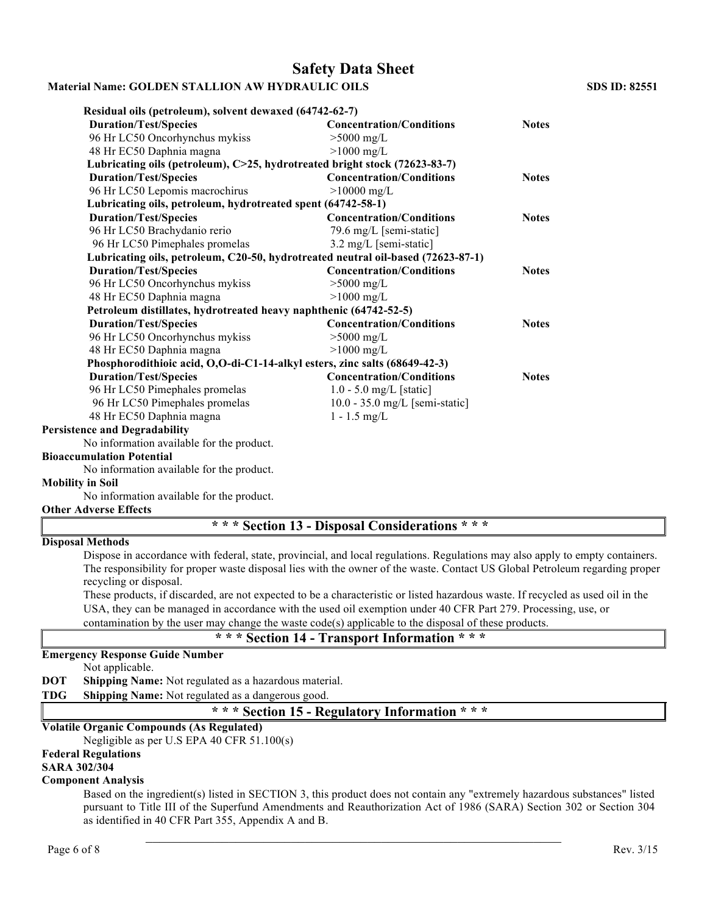# **Safety Data Sheet**

# **Material Name: GOLDEN STALLION AW HYDRAULIC OILS SDS ID: 82551**

| Residual oils (petroleum), solvent dewaxed (64742-62-7)                          |                                  |              |
|----------------------------------------------------------------------------------|----------------------------------|--------------|
| <b>Duration/Test/Species</b>                                                     | <b>Concentration/Conditions</b>  | <b>Notes</b> |
| 96 Hr LC50 Oncorhynchus mykiss                                                   | $>5000$ mg/L                     |              |
| 48 Hr EC50 Daphnia magna                                                         | $>1000$ mg/L                     |              |
| Lubricating oils (petroleum), C>25, hydrotreated bright stock (72623-83-7)       |                                  |              |
| <b>Duration/Test/Species</b>                                                     | <b>Concentration/Conditions</b>  | <b>Notes</b> |
| 96 Hr LC50 Lepomis macrochirus                                                   | $>10000$ mg/L                    |              |
| Lubricating oils, petroleum, hydrotreated spent (64742-58-1)                     |                                  |              |
| <b>Duration/Test/Species</b>                                                     | <b>Concentration/Conditions</b>  | <b>Notes</b> |
| 96 Hr LC50 Brachydanio rerio                                                     | 79.6 mg/L [semi-static]          |              |
| 96 Hr LC50 Pimephales promelas                                                   | 3.2 mg/L [semi-static]           |              |
| Lubricating oils, petroleum, C20-50, hydrotreated neutral oil-based (72623-87-1) |                                  |              |
| <b>Duration/Test/Species</b>                                                     | <b>Concentration/Conditions</b>  | <b>Notes</b> |
| 96 Hr LC50 Oncorhynchus mykiss                                                   | $>5000$ mg/L                     |              |
| 48 Hr EC50 Daphnia magna                                                         | $>1000$ mg/L                     |              |
| Petroleum distillates, hydrotreated heavy naphthenic (64742-52-5)                |                                  |              |
| <b>Duration/Test/Species</b>                                                     | <b>Concentration/Conditions</b>  | <b>Notes</b> |
| 96 Hr LC50 Oncorhynchus mykiss                                                   | $>5000$ mg/L                     |              |
| 48 Hr EC50 Daphnia magna                                                         | $>1000$ mg/L                     |              |
| Phosphorodithioic acid, O,O-di-C1-14-alkyl esters, zinc salts (68649-42-3)       |                                  |              |
| <b>Duration/Test/Species</b>                                                     | <b>Concentration/Conditions</b>  | <b>Notes</b> |
| 96 Hr LC50 Pimephales promelas                                                   | $1.0 - 5.0$ mg/L [static]        |              |
| 96 Hr LC50 Pimephales promelas                                                   | $10.0 - 35.0$ mg/L [semi-static] |              |
| 48 Hr EC50 Daphnia magna                                                         | $1 - 1.5$ mg/L                   |              |
| <b>Persistence and Degradability</b>                                             |                                  |              |
| No information available for the product.                                        |                                  |              |

#### **Bioaccumulation Potential**

No information available for the product.

# **Mobility in Soil**

No information available for the product.

# **Other Adverse Effects**

# **\* \* \* Section 13 - Disposal Considerations \* \* \***

# **Disposal Methods**

Dispose in accordance with federal, state, provincial, and local regulations. Regulations may also apply to empty containers. The responsibility for proper waste disposal lies with the owner of the waste. Contact US Global Petroleum regarding proper recycling or disposal.

These products, if discarded, are not expected to be a characteristic or listed hazardous waste. If recycled as used oil in the USA, they can be managed in accordance with the used oil exemption under 40 CFR Part 279. Processing, use, or contamination by the user may change the waste code(s) applicable to the disposal of these products.

# **\* \* \* Section 14 - Transport Information \* \* \***

# **Emergency Response Guide Number**

Not applicable.

- **DOT Shipping Name:** Not regulated as a hazardous material.
- **TDG Shipping Name:** Not regulated as a dangerous good.

# **\* \* \* Section 15 - Regulatory Information \* \* \***

# **Volatile Organic Compounds (As Regulated)**

Negligible as per U.S EPA 40 CFR 51.100(s)

### **Federal Regulations**

**SARA 302/304** 

#### **Component Analysis**

Based on the ingredient(s) listed in SECTION 3, this product does not contain any "extremely hazardous substances" listed pursuant to Title III of the Superfund Amendments and Reauthorization Act of 1986 (SARA) Section 302 or Section 304 as identified in 40 CFR Part 355, Appendix A and B.

 $\mathcal{L}_\text{max}$  and the contract of the contract of the contract of the contract of the contract of the contract of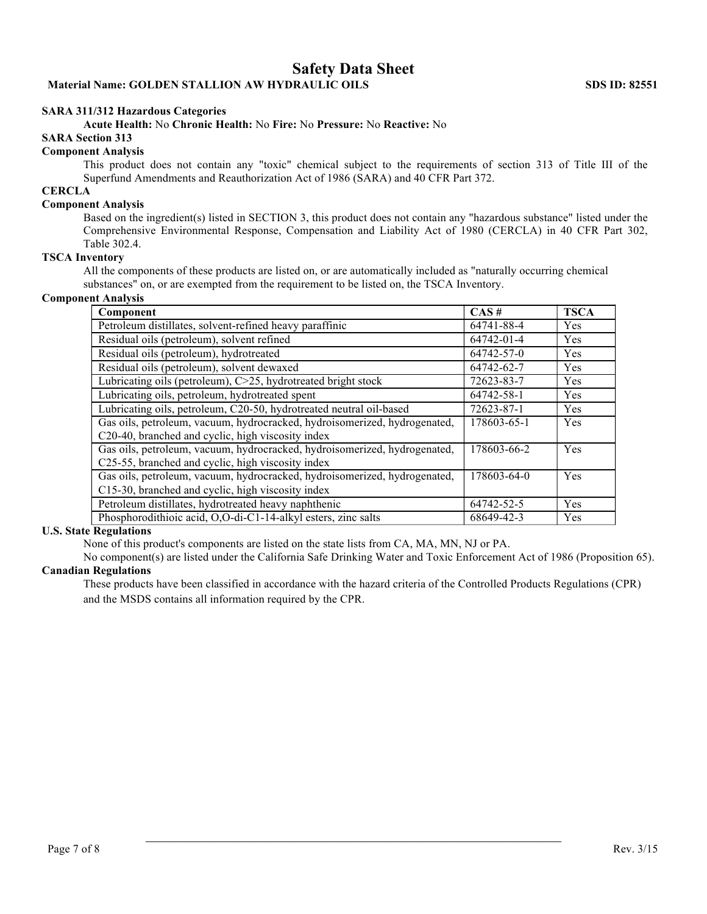# **SARA 311/312 Hazardous Categories**

**Acute Health:** No **Chronic Health:** No **Fire:** No **Pressure:** No **Reactive:** No

# **SARA Section 313**

#### **Component Analysis**

This product does not contain any "toxic" chemical subject to the requirements of section 313 of Title III of the Superfund Amendments and Reauthorization Act of 1986 (SARA) and 40 CFR Part 372.

# **CERCLA**

#### **Component Analysis**

Based on the ingredient(s) listed in SECTION 3, this product does not contain any "hazardous substance" listed under the Comprehensive Environmental Response, Compensation and Liability Act of 1980 (CERCLA) in 40 CFR Part 302, Table 302.4.

### **TSCA Inventory**

All the components of these products are listed on, or are automatically included as "naturally occurring chemical substances" on, or are exempted from the requirement to be listed on, the TSCA Inventory.

### **Component Analysis**

| Component                                                                 | $CAS \#$    | <b>TSCA</b> |
|---------------------------------------------------------------------------|-------------|-------------|
| Petroleum distillates, solvent-refined heavy paraffinic                   | 64741-88-4  | Yes         |
| Residual oils (petroleum), solvent refined                                | 64742-01-4  | Yes         |
| Residual oils (petroleum), hydrotreated                                   | 64742-57-0  | Yes         |
| Residual oils (petroleum), solvent dewaxed                                | 64742-62-7  | Yes         |
| Lubricating oils (petroleum), C>25, hydrotreated bright stock             | 72623-83-7  | Yes         |
| Lubricating oils, petroleum, hydrotreated spent                           | 64742-58-1  | Yes         |
| Lubricating oils, petroleum, C20-50, hydrotreated neutral oil-based       | 72623-87-1  | Yes         |
| Gas oils, petroleum, vacuum, hydrocracked, hydroisomerized, hydrogenated, | 178603-65-1 | Yes         |
| C20-40, branched and cyclic, high viscosity index                         |             |             |
| Gas oils, petroleum, vacuum, hydrocracked, hydroisomerized, hydrogenated, | 178603-66-2 | Yes         |
| C25-55, branched and cyclic, high viscosity index                         |             |             |
| Gas oils, petroleum, vacuum, hydrocracked, hydroisomerized, hydrogenated, | 178603-64-0 | Yes         |
| C15-30, branched and cyclic, high viscosity index                         |             |             |
| Petroleum distillates, hydrotreated heavy naphthenic                      | 64742-52-5  | Yes         |
| Phosphorodithioic acid, O,O-di-C1-14-alkyl esters, zinc salts             | 68649-42-3  | Yes         |

#### **U.S. State Regulations**

None of this product's components are listed on the state lists from CA, MA, MN, NJ or PA.

No component(s) are listed under the California Safe Drinking Water and Toxic Enforcement Act of 1986 (Proposition 65). **Canadian Regulations**

These products have been classified in accordance with the hazard criteria of the Controlled Products Regulations (CPR) and the MSDS contains all information required by the CPR.

 $\mathcal{L}_\mathcal{L}$  , and the contribution of the contribution of the contribution of the contribution of the contribution of the contribution of the contribution of the contribution of the contribution of the contribution of